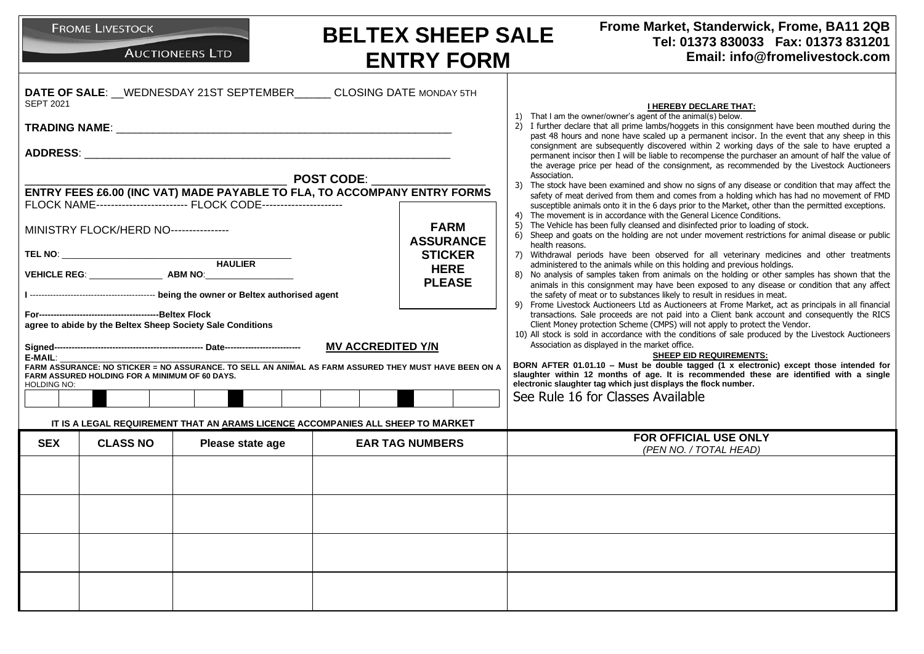| Frome Market, Standerwick, Frome, BA11 2QB<br><b>FROME LIVESTOCK</b><br><b>BELTEX SHEEP SALE</b><br>Tel: 01373 830033  Fax: 01373 831201<br><b>AUCTIONEERS LTD</b><br>Email: info@fromelivestock.com<br><b>ENTRY FORM</b> |                                                                     |                                                                                                       |                                                                                                                                                                                                                                                                                                                                                                                                                                                                                                                                                                                                                                                                                                                                                                                                                                                          |  |  |  |  |
|---------------------------------------------------------------------------------------------------------------------------------------------------------------------------------------------------------------------------|---------------------------------------------------------------------|-------------------------------------------------------------------------------------------------------|----------------------------------------------------------------------------------------------------------------------------------------------------------------------------------------------------------------------------------------------------------------------------------------------------------------------------------------------------------------------------------------------------------------------------------------------------------------------------------------------------------------------------------------------------------------------------------------------------------------------------------------------------------------------------------------------------------------------------------------------------------------------------------------------------------------------------------------------------------|--|--|--|--|
| <b>SEPT 2021</b>                                                                                                                                                                                                          |                                                                     | DATE OF SALE: WEDNESDAY 21ST SEPTEMBER CLOSING DATE MONDAY 5TH                                        | <b>I HEREBY DECLARE THAT:</b><br>1) That I am the owner/owner's agent of the animal(s) below.<br>2) I further declare that all prime lambs/hoggets in this consignment have been mouthed during the<br>past 48 hours and none have scaled up a permanent incisor. In the event that any sheep in this<br>consignment are subsequently discovered within 2 working days of the sale to have erupted a<br>permanent incisor then I will be liable to recompense the purchaser an amount of half the value of                                                                                                                                                                                                                                                                                                                                               |  |  |  |  |
|                                                                                                                                                                                                                           | FLOCK NAME------------------------- FLOCK CODE--------------------- | <b>POST CODE:</b><br>ENTRY FEES £6.00 (INC VAT) MADE PAYABLE TO FLA, TO ACCOMPANY ENTRY FORMS         | the average price per head of the consignment, as recommended by the Livestock Auctioneers<br>Association.<br>The stock have been examined and show no signs of any disease or condition that may affect the<br>3)<br>safety of meat derived from them and comes from a holding which has had no movement of FMD                                                                                                                                                                                                                                                                                                                                                                                                                                                                                                                                         |  |  |  |  |
| MINISTRY FLOCK/HERD NO----------------                                                                                                                                                                                    |                                                                     | <b>FARM</b><br><b>ASSURANCE</b><br><b>STICKER</b><br><b>HERE</b><br><b>PLEASE</b>                     | susceptible animals onto it in the 6 days prior to the Market, other than the permitted exceptions.<br>4) The movement is in accordance with the General Licence Conditions.<br>The Vehicle has been fully cleansed and disinfected prior to loading of stock.<br>5)<br>6) Sheep and goats on the holding are not under movement restrictions for animal disease or public<br>health reasons.<br>7) Withdrawal periods have been observed for all veterinary medicines and other treatments<br>administered to the animals while on this holding and previous holdings.<br>8) No analysis of samples taken from animals on the holding or other samples has shown that the<br>animals in this consignment may have been exposed to any disease or condition that any affect<br>the safety of meat or to substances likely to result in residues in meat. |  |  |  |  |
| agree to abide by the Beltex Sheep Society Sale Conditions<br>E-MAIL:<br>FARM ASSURED HOLDING FOR A MINIMUM OF 60 DAYS.<br>HOLDING NO:                                                                                    |                                                                     | FARM ASSURANCE: NO STICKER = NO ASSURANCE. TO SELL AN ANIMAL AS FARM ASSURED THEY MUST HAVE BEEN ON A | 9) Frome Livestock Auctioneers Ltd as Auctioneers at Frome Market, act as principals in all financial<br>transactions. Sale proceeds are not paid into a Client bank account and consequently the RICS<br>Client Money protection Scheme (CMPS) will not apply to protect the Vendor.<br>10) All stock is sold in accordance with the conditions of sale produced by the Livestock Auctioneers<br>Association as displayed in the market office.<br><b>SHEEP EID REQUIREMENTS:</b><br>BORN AFTER 01.01.10 - Must be double tagged (1 x electronic) except those intended for<br>slaughter within 12 months of age. It is recommended these are identified with a single<br>electronic slaughter tag which just displays the flock number.                                                                                                                |  |  |  |  |
|                                                                                                                                                                                                                           |                                                                     | IT IS A LEGAL REQUIREMENT THAT AN ARAMS LICENCE ACCOMPANIES ALL SHEEP TO MARKET                       | See Rule 16 for Classes Available                                                                                                                                                                                                                                                                                                                                                                                                                                                                                                                                                                                                                                                                                                                                                                                                                        |  |  |  |  |
| <b>SEX</b><br><b>CLASS NO</b>                                                                                                                                                                                             | Please state age                                                    | <b>EAR TAG NUMBERS</b>                                                                                | <b>FOR OFFICIAL USE ONLY</b><br>(PEN NO. / TOTAL HEAD)                                                                                                                                                                                                                                                                                                                                                                                                                                                                                                                                                                                                                                                                                                                                                                                                   |  |  |  |  |
|                                                                                                                                                                                                                           |                                                                     |                                                                                                       |                                                                                                                                                                                                                                                                                                                                                                                                                                                                                                                                                                                                                                                                                                                                                                                                                                                          |  |  |  |  |
|                                                                                                                                                                                                                           |                                                                     |                                                                                                       |                                                                                                                                                                                                                                                                                                                                                                                                                                                                                                                                                                                                                                                                                                                                                                                                                                                          |  |  |  |  |
|                                                                                                                                                                                                                           |                                                                     |                                                                                                       |                                                                                                                                                                                                                                                                                                                                                                                                                                                                                                                                                                                                                                                                                                                                                                                                                                                          |  |  |  |  |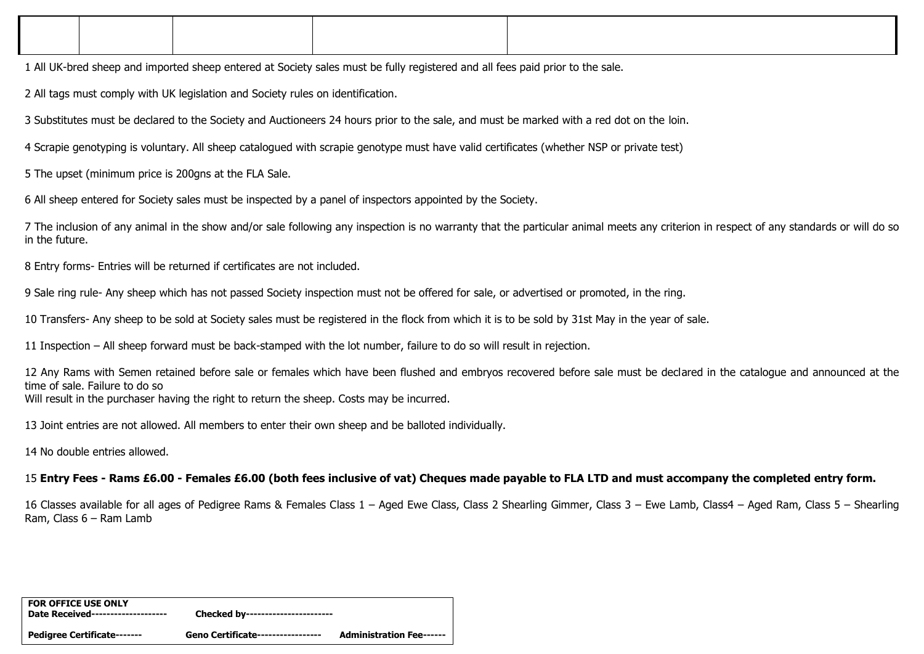1 All UK-bred sheep and imported sheep entered at Society sales must be fully registered and all fees paid prior to the sale.

2 All tags must comply with UK legislation and Society rules on identification.

3 Substitutes must be declared to the Society and Auctioneers 24 hours prior to the sale, and must be marked with a red dot on the loin.

4 Scrapie genotyping is voluntary. All sheep catalogued with scrapie genotype must have valid certificates (whether NSP or private test)

5 The upset (minimum price is 200gns at the FLA Sale.

6 All sheep entered for Society sales must be inspected by a panel of inspectors appointed by the Society.

7 The inclusion of any animal in the show and/or sale following any inspection is no warranty that the particular animal meets any criterion in respect of any standards or will do so in the future.

8 Entry forms- Entries will be returned if certificates are not included.

9 Sale ring rule- Any sheep which has not passed Society inspection must not be offered for sale, or advertised or promoted, in the ring.

10 Transfers- Any sheep to be sold at Society sales must be registered in the flock from which it is to be sold by 31st May in the year of sale.

11 Inspection – All sheep forward must be back-stamped with the lot number, failure to do so will result in rejection.

12 Any Rams with Semen retained before sale or females which have been flushed and embryos recovered before sale must be declared in the catalogue and announced at the time of sale. Failure to do so Will result in the purchaser having the right to return the sheep. Costs may be incurred.

13 Joint entries are not allowed. All members to enter their own sheep and be balloted individually.

14 No double entries allowed.

15 **Entry Fees - Rams £6.00 - Females £6.00 (both fees inclusive of vat) Cheques made payable to FLA LTD and must accompany the completed entry form.**

16 Classes available for all ages of Pedigree Rams & Females Class 1 – Aged Ewe Class, Class 2 Shearling Gimmer, Class 3 – Ewe Lamb, Class4 – Aged Ram, Class 5 – Shearling Ram, Class 6 – Ram Lamb

| <b>FOR OFFICE USE ONLY</b><br>Date Received-------------------- | Checked by-----------------------        |                                 |
|-----------------------------------------------------------------|------------------------------------------|---------------------------------|
| Pedigree Certificate-------                                     | <b>Geno Certificate-----------------</b> | <b>Administration Fee------</b> |